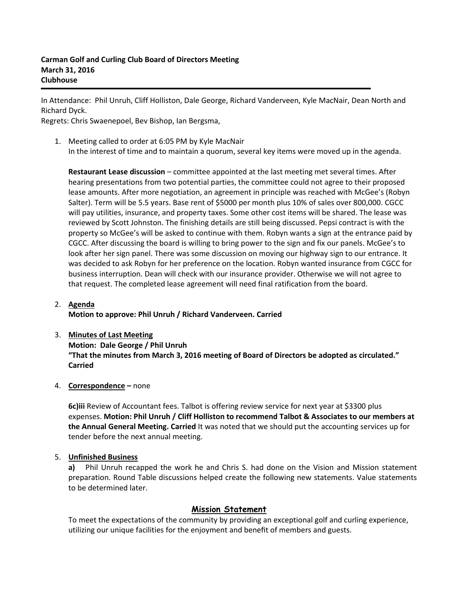In Attendance: Phil Unruh, Cliff Holliston, Dale George, Richard Vanderveen, Kyle MacNair, Dean North and Richard Dyck.

Regrets: Chris Swaenepoel, Bev Bishop, Ian Bergsma,

1. Meeting called to order at 6:05 PM by Kyle MacNair In the interest of time and to maintain a quorum, several key items were moved up in the agenda.

**Restaurant Lease discussion** – committee appointed at the last meeting met several times. After hearing presentations from two potential parties, the committee could not agree to their proposed lease amounts. After more negotiation, an agreement in principle was reached with McGee's (Robyn Salter). Term will be 5.5 years. Base rent of \$5000 per month plus 10% of sales over 800,000. CGCC will pay utilities, insurance, and property taxes. Some other cost items will be shared. The lease was reviewed by Scott Johnston. The finishing details are still being discussed. Pepsi contract is with the property so McGee's will be asked to continue with them. Robyn wants a sign at the entrance paid by CGCC. After discussing the board is willing to bring power to the sign and fix our panels. McGee's to look after her sign panel. There was some discussion on moving our highway sign to our entrance. It was decided to ask Robyn for her preference on the location. Robyn wanted insurance from CGCC for business interruption. Dean will check with our insurance provider. Otherwise we will not agree to that request. The completed lease agreement will need final ratification from the board.

## 2. **Agenda Motion to approve: Phil Unruh / Richard Vanderveen. Carried**

# 3. **Minutes of Last Meeting Motion: Dale George / Phil Unruh "That the minutes from March 3, 2016 meeting of Board of Directors be adopted as circulated." Carried**

### 4. **Correspondence –** none

**6c)iii** Review of Accountant fees. Talbot is offering review service for next year at \$3300 plus expenses. **Motion: Phil Unruh / Cliff Holliston to recommend Talbot & Associates to our members at the Annual General Meeting. Carried** It was noted that we should put the accounting services up for tender before the next annual meeting.

### 5. **Unfinished Business**

**a)** Phil Unruh recapped the work he and Chris S. had done on the Vision and Mission statement preparation. Round Table discussions helped create the following new statements. Value statements to be determined later.

# **Mission Statement**

To meet the expectations of the community by providing an exceptional golf and curling experience, utilizing our unique facilities for the enjoyment and benefit of members and guests.